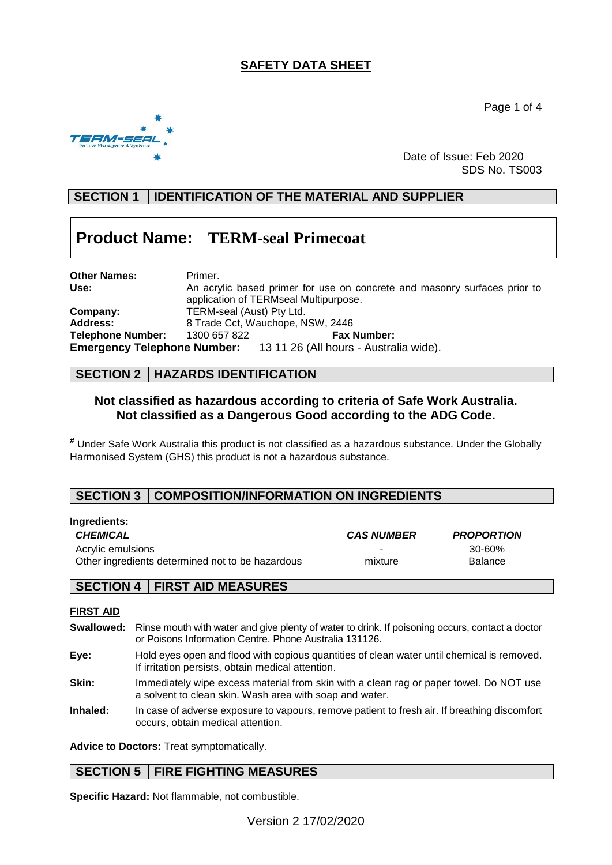# **SAFETY DATA SHEET**

Page 1 of 4



Date of Issue: Feb 2020 SDS No. TS003

# **SECTION 1 IDENTIFICATION OF THE MATERIAL AND SUPPLIER**

# **Product Name: TERM-seal Primecoat**

| <b>Other Names:</b> | Primer.                                                                   |                                                                           |  |  |
|---------------------|---------------------------------------------------------------------------|---------------------------------------------------------------------------|--|--|
| Use:                | An acrylic based primer for use on concrete and masonry surfaces prior to |                                                                           |  |  |
|                     | application of TERMseal Multipurpose.                                     |                                                                           |  |  |
| Company:            | TERM-seal (Aust) Pty Ltd.                                                 |                                                                           |  |  |
| <b>Address:</b>     | 8 Trade Cct, Wauchope, NSW, 2446                                          |                                                                           |  |  |
| Telephone Number:   | 1300 657 822                                                              | <b>Fax Number:</b>                                                        |  |  |
|                     |                                                                           | <b>Emergency Telephone Number:</b> 13 11 26 (All hours - Australia wide). |  |  |

### **SECTION 2 HAZARDS IDENTIFICATION**

### **Not classified as hazardous according to criteria of Safe Work Australia. Not classified as a Dangerous Good according to the ADG Code.**

**#** Under Safe Work Australia this product is not classified as a hazardous substance. Under the Globally Harmonised System (GHS) this product is not a hazardous substance.

### **SECTION 3 COMPOSITION/INFORMATION ON INGREDIENTS**

| ingreulents.                                     |                   |                   |  |
|--------------------------------------------------|-------------------|-------------------|--|
| <b>CHEMICAL</b>                                  | <b>CAS NUMBER</b> | <b>PROPORTION</b> |  |
| Acrylic emulsions                                | ۰.                | 30-60%            |  |
| Other ingredients determined not to be hazardous | mixture           | <b>Balance</b>    |  |
|                                                  |                   |                   |  |

### **SECTION 4 FIRST AID MEASURES**

### **FIRST AID**

**Ingredients:**

- **Swallowed:** Rinse mouth with water and give plenty of water to drink. If poisoning occurs, contact a doctor or Poisons Information Centre. Phone Australia 131126.
- **Eye:** Hold eyes open and flood with copious quantities of clean water until chemical is removed. If irritation persists, obtain medical attention.
- **Skin:** Immediately wipe excess material from skin with a clean rag or paper towel. Do NOT use a solvent to clean skin. Wash area with soap and water.
- **Inhaled:** In case of adverse exposure to vapours, remove patient to fresh air. If breathing discomfort occurs, obtain medical attention.

**Advice to Doctors:** Treat symptomatically.

### **SECTION 5 FIRE FIGHTING MEASURES**

**Specific Hazard:** Not flammable, not combustible.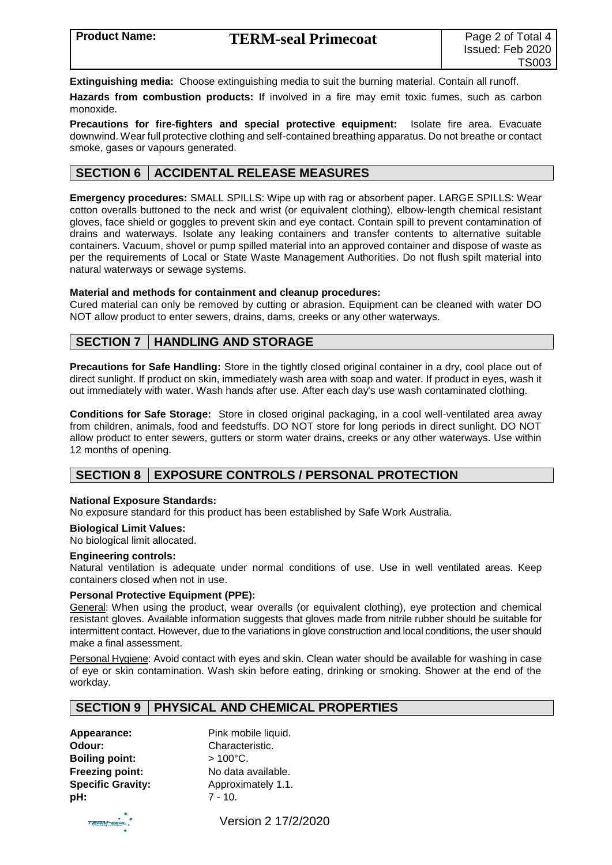**Extinguishing media:** Choose extinguishing media to suit the burning material. Contain all runoff.

**Hazards from combustion products:** If involved in a fire may emit toxic fumes, such as carbon monoxide.

**Precautions for fire-fighters and special protective equipment:** Isolate fire area. Evacuate downwind. Wear full protective clothing and self-contained breathing apparatus. Do not breathe or contact smoke, gases or vapours generated.

### **SECTION 6 ACCIDENTAL RELEASE MEASURES**

**Emergency procedures:** SMALL SPILLS: Wipe up with rag or absorbent paper. LARGE SPILLS: Wear cotton overalls buttoned to the neck and wrist (or equivalent clothing), elbow-length chemical resistant gloves, face shield or goggles to prevent skin and eye contact. Contain spill to prevent contamination of drains and waterways. Isolate any leaking containers and transfer contents to alternative suitable containers. Vacuum, shovel or pump spilled material into an approved container and dispose of waste as per the requirements of Local or State Waste Management Authorities. Do not flush spilt material into natural waterways or sewage systems.

#### **Material and methods for containment and cleanup procedures:**

Cured material can only be removed by cutting or abrasion. Equipment can be cleaned with water DO NOT allow product to enter sewers, drains, dams, creeks or any other waterways.

### **SECTION 7 HANDLING AND STORAGE**

**Precautions for Safe Handling:** Store in the tightly closed original container in a dry, cool place out of direct sunlight. If product on skin, immediately wash area with soap and water. If product in eyes, wash it out immediately with water. Wash hands after use. After each day's use wash contaminated clothing.

**Conditions for Safe Storage:** Store in closed original packaging, in a cool well-ventilated area away from children, animals, food and feedstuffs. DO NOT store for long periods in direct sunlight. DO NOT allow product to enter sewers, gutters or storm water drains, creeks or any other waterways. Use within 12 months of opening.

### **SECTION 8 EXPOSURE CONTROLS / PERSONAL PROTECTION**

#### **National Exposure Standards:**

No exposure standard for this product has been established by Safe Work Australia.

#### **Biological Limit Values:**

No biological limit allocated.

#### **Engineering controls:**

Natural ventilation is adequate under normal conditions of use. Use in well ventilated areas. Keep containers closed when not in use.

#### **Personal Protective Equipment (PPE):**

General: When using the product, wear overalls (or equivalent clothing), eye protection and chemical resistant gloves. Available information suggests that gloves made from nitrile rubber should be suitable for intermittent contact. However, due to the variations in glove construction and local conditions, the user should make a final assessment.

Personal Hygiene: Avoid contact with eyes and skin. Clean water should be available for washing in case of eye or skin contamination. Wash skin before eating, drinking or smoking. Shower at the end of the workday.

### **SECTION 9 PHYSICAL AND CHEMICAL PROPERTIES**

**Appearance:** Pink mobile liquid. **Odour:** Characteristic. **Boiling point:** > 100°C. **pH:** 7 - 10.

**Freezing point:** No data available. **Specific Gravity:** Approximately 1.1.



Version 2 17/2/2020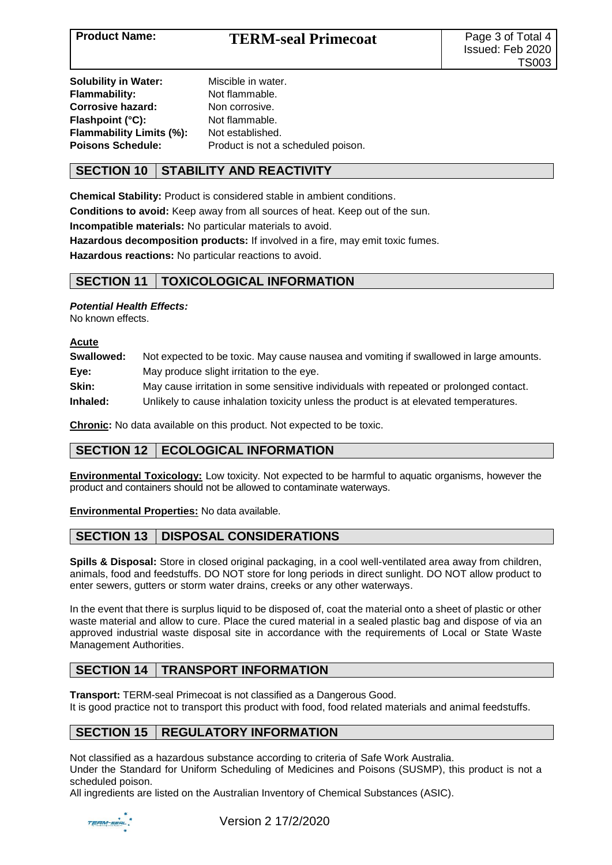| <b>Solubility in Water:</b>     | Miscible in water.                 |
|---------------------------------|------------------------------------|
| Flammability:                   | Not flammable.                     |
| <b>Corrosive hazard:</b>        | Non corrosive.                     |
| Flashpoint (°C):                | Not flammable.                     |
| <b>Flammability Limits (%):</b> | Not established.                   |
| <b>Poisons Schedule:</b>        | Product is not a scheduled poison. |
|                                 |                                    |

## **SECTION 10 STABILITY AND REACTIVITY**

**Chemical Stability:** Product is considered stable in ambient conditions.

**Conditions to avoid:** Keep away from all sources of heat. Keep out of the sun.

**Incompatible materials:** No particular materials to avoid.

**Hazardous decomposition products:** If involved in a fire, may emit toxic fumes.

**Hazardous reactions:** No particular reactions to avoid.

### **SECTION 11 TOXICOLOGICAL INFORMATION**

*Potential Health Effects:*

No known effects.

**Acute**

| Not expected to be toxic. May cause nausea and vomiting if swallowed in large amounts. |
|----------------------------------------------------------------------------------------|
|                                                                                        |
| May cause irritation in some sensitive individuals with repeated or prolonged contact. |
| Unlikely to cause inhalation toxicity unless the product is at elevated temperatures.  |
|                                                                                        |

**Chronic:** No data available on this product. Not expected to be toxic.

# **SECTION 12 ECOLOGICAL INFORMATION**

**Environmental Toxicology:** Low toxicity. Not expected to be harmful to aquatic organisms, however the product and containers should not be allowed to contaminate waterways.

**Environmental Properties:** No data available.

### **SECTION 13 DISPOSAL CONSIDERATIONS**

**Spills & Disposal:** Store in closed original packaging, in a cool well-ventilated area away from children, animals, food and feedstuffs. DO NOT store for long periods in direct sunlight. DO NOT allow product to enter sewers, gutters or storm water drains, creeks or any other waterways.

In the event that there is surplus liquid to be disposed of, coat the material onto a sheet of plastic or other waste material and allow to cure. Place the cured material in a sealed plastic bag and dispose of via an approved industrial waste disposal site in accordance with the requirements of Local or State Waste Management Authorities.

# **SECTION 14 TRANSPORT INFORMATION**

**Transport:** TERM-seal Primecoat is not classified as a Dangerous Good. It is good practice not to transport this product with food, food related materials and animal feedstuffs.

# **SECTION 15 REGULATORY INFORMATION**

Not classified as a hazardous substance according to criteria of Safe Work Australia.

Under the Standard for Uniform Scheduling of Medicines and Poisons (SUSMP), this product is not a scheduled poison.

All ingredients are listed on the Australian Inventory of Chemical Substances (ASIC).